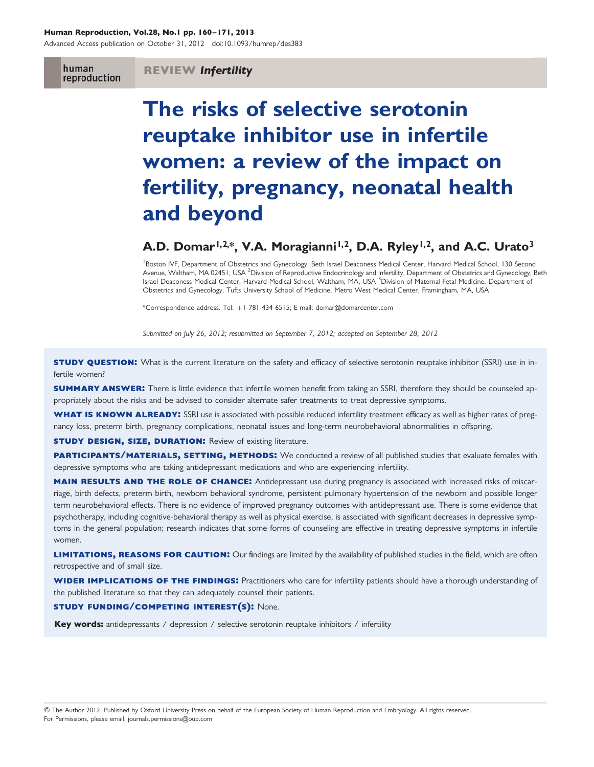#### Human Reproduction, Vol.28, No.1 pp. 160–171, 2013

Advanced Access publication on October 31, 2012 doi:10.1093/humrep/des383

human reproduction

#### REVIEW Infertility

# The risks of selective serotonin reuptake inhibitor use in infertile women: a review of the impact on fertility, pregnancy, neonatal health and beyond

## A.D. Domar<sup>1,2,\*</sup>, V.A. Moragianni<sup>1,2</sup>, D.A. Ryley<sup>1,2</sup>, and A.C. Urato<sup>3</sup>

Boston IVF, Department of Obstetrics and Gynecology, Beth Israel Deaconess Medical Center, Harvard Medical School, 130 Second Avenue, Waltham, MA 02451, USA <sup>2</sup>Division of Reproductive Endocrinology and Infertility, Department of Obstetrics and Gynecology, Beth Israel Deaconess Medical Center, Harvard Medical School, Waltham, MA, USA <sup>3</sup>Division of Maternal Fetal Medicine, Department of Obstetrics and Gynecology, Tufts University School of Medicine, Metro West Medical Center, Framingham, MA, USA

\*Correspondence address. Tel: +1-781-434-6515; E-mail: domar@domarcenter.com

Submitted on July 26, 2012; resubmitted on September 7, 2012; accepted on September 28, 2012

**STUDY QUESTION:** What is the current literature on the safety and efficacy of selective serotonin reuptake inhibitor (SSRI) use in infertile women?

**SUMMARY ANSWER:** There is little evidence that infertile women benefit from taking an SSRI, therefore they should be counseled appropriately about the risks and be advised to consider alternate safer treatments to treat depressive symptoms.

WHAT IS KNOWN ALREADY: SSRI use is associated with possible reduced infertility treatment efficacy as well as higher rates of pregnancy loss, preterm birth, pregnancy complications, neonatal issues and long-term neurobehavioral abnormalities in offspring.

**STUDY DESIGN, SIZE, DURATION: Review of existing literature.** 

PARTICIPANTS/MATERIALS, SETTING, METHODS: We conducted a review of all published studies that evaluate females with depressive symptoms who are taking antidepressant medications and who are experiencing infertility.

MAIN RESULTS AND THE ROLE OF CHANCE: Antidepressant use during pregnancy is associated with increased risks of miscarriage, birth defects, preterm birth, newborn behavioral syndrome, persistent pulmonary hypertension of the newborn and possible longer term neurobehavioral effects. There is no evidence of improved pregnancy outcomes with antidepressant use. There is some evidence that psychotherapy, including cognitive-behavioral therapy as well as physical exercise, is associated with significant decreases in depressive symptoms in the general population; research indicates that some forms of counseling are effective in treating depressive symptoms in infertile women.

LIMITATIONS, REASONS FOR CAUTION: Our findings are limited by the availability of published studies in the field, which are often retrospective and of small size.

WIDER IMPLICATIONS OF THE FINDINGS: Practitioners who care for infertility patients should have a thorough understanding of the published literature so that they can adequately counsel their patients.

#### study funding/competing interest(s): None.

Key words: antidepressants / depression / selective serotonin reuptake inhibitors / infertility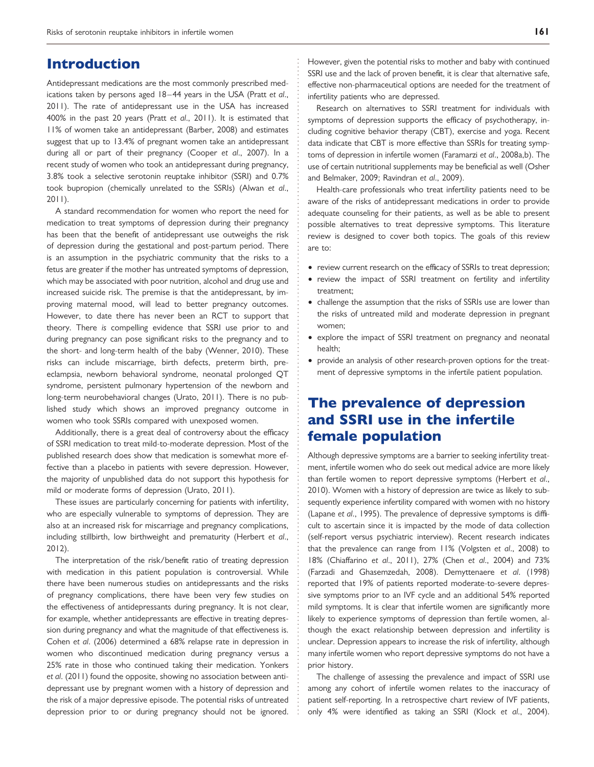## Introduction

Antidepressant medications are the most commonly prescribed medications taken by persons aged 18-44 years in the USA (Pratt et al., 2011). The rate of antidepressant use in the USA has increased 400% in the past 20 years (Pratt et al., 2011). It is estimated that 11% of women take an antidepressant (Barber, 2008) and estimates suggest that up to 13.4% of pregnant women take an antidepressant during all or part of their pregnancy (Cooper et al., 2007). In a recent study of women who took an antidepressant during pregnancy, 3.8% took a selective serotonin reuptake inhibitor (SSRI) and 0.7% took bupropion (chemically unrelated to the SSRIs) (Alwan et al., 2011).

A standard recommendation for women who report the need for medication to treat symptoms of depression during their pregnancy has been that the benefit of antidepressant use outweighs the risk of depression during the gestational and post-partum period. There is an assumption in the psychiatric community that the risks to a fetus are greater if the mother has untreated symptoms of depression, which may be associated with poor nutrition, alcohol and drug use and increased suicide risk. The premise is that the antidepressant, by improving maternal mood, will lead to better pregnancy outcomes. However, to date there has never been an RCT to support that theory. There is compelling evidence that SSRI use prior to and during pregnancy can pose significant risks to the pregnancy and to the short- and long-term health of the baby (Wenner, 2010). These risks can include miscarriage, birth defects, preterm birth, preeclampsia, newborn behavioral syndrome, neonatal prolonged QT syndrome, persistent pulmonary hypertension of the newborn and long-term neurobehavioral changes (Urato, 2011). There is no published study which shows an improved pregnancy outcome in women who took SSRIs compared with unexposed women.

Additionally, there is a great deal of controversy about the efficacy of SSRI medication to treat mild-to-moderate depression. Most of the published research does show that medication is somewhat more effective than a placebo in patients with severe depression. However, the majority of unpublished data do not support this hypothesis for mild or moderate forms of depression (Urato, 2011).

These issues are particularly concerning for patients with infertility, who are especially vulnerable to symptoms of depression. They are also at an increased risk for miscarriage and pregnancy complications, including stillbirth, low birthweight and prematurity (Herbert et al., 2012).

The interpretation of the risk/benefit ratio of treating depression with medication in this patient population is controversial. While there have been numerous studies on antidepressants and the risks of pregnancy complications, there have been very few studies on the effectiveness of antidepressants during pregnancy. It is not clear, for example, whether antidepressants are effective in treating depression during pregnancy and what the magnitude of that effectiveness is. Cohen et al. (2006) determined a 68% relapse rate in depression in women who discontinued medication during pregnancy versus a 25% rate in those who continued taking their medication. Yonkers et al. (2011) found the opposite, showing no association between antidepressant use by pregnant women with a history of depression and the risk of a major depressive episode. The potential risks of untreated depression prior to or during pregnancy should not be ignored.

However, given the potential risks to mother and baby with continued SSRI use and the lack of proven benefit, it is clear that alternative safe, effective non-pharmaceutical options are needed for the treatment of infertility patients who are depressed.

Research on alternatives to SSRI treatment for individuals with symptoms of depression supports the efficacy of psychotherapy, including cognitive behavior therapy (CBT), exercise and yoga. Recent data indicate that CBT is more effective than SSRIs for treating symptoms of depression in infertile women (Faramarzi et al., 2008a,b). The use of certain nutritional supplements may be beneficial as well (Osher and Belmaker, 2009; Ravindran et al., 2009).

Health-care professionals who treat infertility patients need to be aware of the risks of antidepressant medications in order to provide adequate counseling for their patients, as well as be able to present possible alternatives to treat depressive symptoms. This literature review is designed to cover both topics. The goals of this review are to:

- review current research on the efficacy of SSRIs to treat depression;
- review the impact of SSRI treatment on fertility and infertility treatment;
- challenge the assumption that the risks of SSRIs use are lower than the risks of untreated mild and moderate depression in pregnant women;
- explore the impact of SSRI treatment on pregnancy and neonatal health;
- provide an analysis of other research-proven options for the treatment of depressive symptoms in the infertile patient population.

# The prevalence of depression and SSRI use in the infertile female population

Although depressive symptoms are a barrier to seeking infertility treatment, infertile women who do seek out medical advice are more likely than fertile women to report depressive symptoms (Herbert et al., 2010). Women with a history of depression are twice as likely to subsequently experience infertility compared with women with no history (Lapane et al., 1995). The prevalence of depressive symptoms is difficult to ascertain since it is impacted by the mode of data collection (self-report versus psychiatric interview). Recent research indicates that the prevalence can range from 11% (Volgsten et al., 2008) to 18% (Chiaffarino et al., 2011), 27% (Chen et al., 2004) and 73% (Farzadi and Ghasemzedah, 2008). Demyttenaere et al. (1998) reported that 19% of patients reported moderate-to-severe depressive symptoms prior to an IVF cycle and an additional 54% reported mild symptoms. It is clear that infertile women are significantly more likely to experience symptoms of depression than fertile women, although the exact relationship between depression and infertility is unclear. Depression appears to increase the risk of infertility, although many infertile women who report depressive symptoms do not have a prior history.

The challenge of assessing the prevalence and impact of SSRI use among any cohort of infertile women relates to the inaccuracy of patient self-reporting. In a retrospective chart review of IVF patients, only 4% were identified as taking an SSRI (Klock et al., 2004).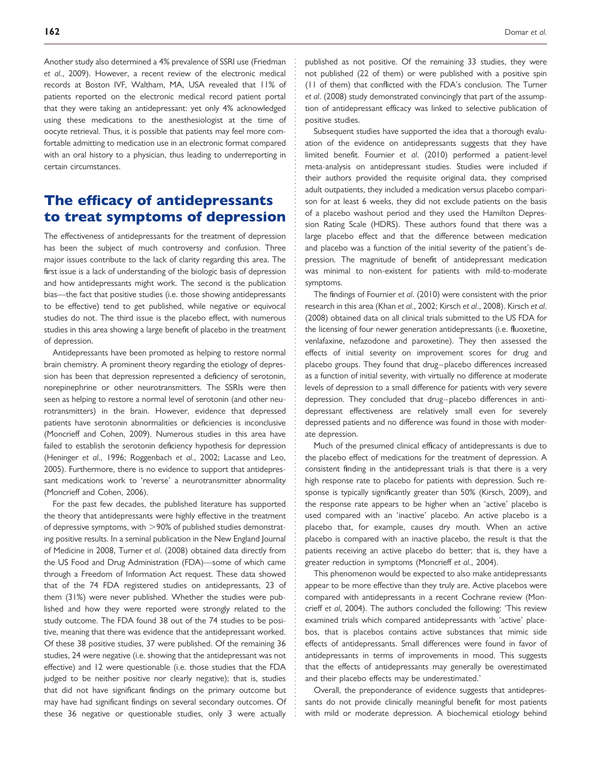Another study also determined a 4% prevalence of SSRI use (Friedman et al., 2009). However, a recent review of the electronic medical records at Boston IVF, Waltham, MA, USA revealed that 11% of patients reported on the electronic medical record patient portal that they were taking an antidepressant: yet only 4% acknowledged using these medications to the anesthesiologist at the time of oocyte retrieval. Thus, it is possible that patients may feel more comfortable admitting to medication use in an electronic format compared with an oral history to a physician, thus leading to underreporting in certain circumstances.

# The efficacy of antidepressants to treat symptoms of depression

The effectiveness of antidepressants for the treatment of depression has been the subject of much controversy and confusion. Three major issues contribute to the lack of clarity regarding this area. The first issue is a lack of understanding of the biologic basis of depression and how antidepressants might work. The second is the publication bias—the fact that positive studies (i.e. those showing antidepressants to be effective) tend to get published, while negative or equivocal studies do not. The third issue is the placebo effect, with numerous studies in this area showing a large benefit of placebo in the treatment of depression.

Antidepressants have been promoted as helping to restore normal brain chemistry. A prominent theory regarding the etiology of depression has been that depression represented a deficiency of serotonin, norepinephrine or other neurotransmitters. The SSRIs were then seen as helping to restore a normal level of serotonin (and other neurotransmitters) in the brain. However, evidence that depressed patients have serotonin abnormalities or deficiencies is inconclusive (Moncrieff and Cohen, 2009). Numerous studies in this area have failed to establish the serotonin deficiency hypothesis for depression (Heninger et al., 1996; Roggenbach et al., 2002; Lacasse and Leo, 2005). Furthermore, there is no evidence to support that antidepressant medications work to 'reverse' a neurotransmitter abnormality (Moncrieff and Cohen, 2006).

For the past few decades, the published literature has supported the theory that antidepressants were highly effective in the treatment of depressive symptoms, with  $>$ 90% of published studies demonstrating positive results. In a seminal publication in the New England Journal of Medicine in 2008, Turner et al. (2008) obtained data directly from the US Food and Drug Administration (FDA)—some of which came through a Freedom of Information Act request. These data showed that of the 74 FDA registered studies on antidepressants, 23 of them (31%) were never published. Whether the studies were published and how they were reported were strongly related to the study outcome. The FDA found 38 out of the 74 studies to be positive, meaning that there was evidence that the antidepressant worked. Of these 38 positive studies, 37 were published. Of the remaining 36 studies, 24 were negative (i.e. showing that the antidepressant was not effective) and 12 were questionable (i.e. those studies that the FDA judged to be neither positive nor clearly negative); that is, studies that did not have significant findings on the primary outcome but may have had significant findings on several secondary outcomes. Of these 36 negative or questionable studies, only 3 were actually

published as not positive. Of the remaining 33 studies, they were not published (22 of them) or were published with a positive spin (11 of them) that conflicted with the FDA's conclusion. The Turner et al. (2008) study demonstrated convincingly that part of the assumption of antidepressant efficacy was linked to selective publication of positive studies.

Subsequent studies have supported the idea that a thorough evaluation of the evidence on antidepressants suggests that they have limited benefit. Fournier et al. (2010) performed a patient-level meta-analysis on antidepressant studies. Studies were included if their authors provided the requisite original data, they comprised adult outpatients, they included a medication versus placebo comparison for at least 6 weeks, they did not exclude patients on the basis of a placebo washout period and they used the Hamilton Depression Rating Scale (HDRS). These authors found that there was a large placebo effect and that the difference between medication and placebo was a function of the initial severity of the patient's depression. The magnitude of benefit of antidepressant medication was minimal to non-existent for patients with mild-to-moderate symptoms.

The findings of Fournier et al. (2010) were consistent with the prior research in this area (Khan et al., 2002; Kirsch et al., 2008). Kirsch et al. (2008) obtained data on all clinical trials submitted to the US FDA for the licensing of four newer generation antidepressants (i.e. fluoxetine, venlafaxine, nefazodone and paroxetine). They then assessed the effects of initial severity on improvement scores for drug and placebo groups. They found that drug-placebo differences increased as a function of initial severity, with virtually no difference at moderate levels of depression to a small difference for patients with very severe depression. They concluded that drug– placebo differences in antidepressant effectiveness are relatively small even for severely depressed patients and no difference was found in those with moderate depression.

Much of the presumed clinical efficacy of antidepressants is due to the placebo effect of medications for the treatment of depression. A consistent finding in the antidepressant trials is that there is a very high response rate to placebo for patients with depression. Such response is typically significantly greater than 50% (Kirsch, 2009), and the response rate appears to be higher when an 'active' placebo is used compared with an 'inactive' placebo. An active placebo is a placebo that, for example, causes dry mouth. When an active placebo is compared with an inactive placebo, the result is that the patients receiving an active placebo do better; that is, they have a greater reduction in symptoms (Moncrieff et al., 2004).

This phenomenon would be expected to also make antidepressants appear to be more effective than they truly are. Active placebos were compared with antidepressants in a recent Cochrane review (Moncrieff et al, 2004). The authors concluded the following: 'This review examined trials which compared antidepressants with 'active' placebos, that is placebos contains active substances that mimic side effects of antidepressants. Small differences were found in favor of antidepressants in terms of improvements in mood. This suggests that the effects of antidepressants may generally be overestimated and their placebo effects may be underestimated.'

Overall, the preponderance of evidence suggests that antidepressants do not provide clinically meaningful benefit for most patients with mild or moderate depression. A biochemical etiology behind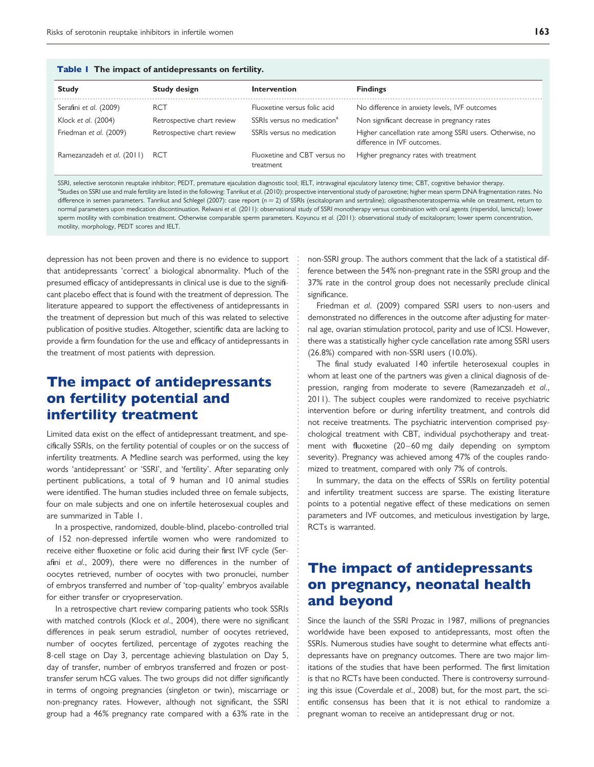| Table I The impact of antidepressants on fertility. |                            |                                           |                                                                                         |  |  |
|-----------------------------------------------------|----------------------------|-------------------------------------------|-----------------------------------------------------------------------------------------|--|--|
| <b>Study</b>                                        | <b>Study design</b>        | <b>Intervention</b>                       | <b>Findings</b>                                                                         |  |  |
| Serafini et al. (2009)                              | <b>RCT</b>                 | Fluoxetine versus folic acid              | No difference in anxiety levels, IVF outcomes                                           |  |  |
| Klock et al. (2004)                                 | Retrospective chart review | SSRIs versus no medication <sup>a</sup>   | Non significant decrease in pregnancy rates                                             |  |  |
| Friedman et al. (2009)                              | Retrospective chart review | SSRIs versus no medication                | Higher cancellation rate among SSRI users. Otherwise, no<br>difference in IVF outcomes. |  |  |
| Ramezanzadeh et al. (2011)                          | RCT                        | Fluoxetine and CBT versus no<br>treatment | Higher pregnancy rates with treatment                                                   |  |  |

SSRI, selective serotonin reuptake inhibitor; PEDT, premature ejaculation diagnostic tool; IELT, intravaginal ejaculatory latency time; CBT, cognitive behavior therapy. a<br>Astudies on SSRI use and male fertility are listed in the following: Tanrikut et al. (2010): prospective interventional study of paroxetine; higher mean sperm DNA fragmentation rates. No difference in semen parameters. Tanrikut and Schlegel (2007): case report  $(n = 2)$  of SSRIs (escitalopram and sertraline); oligoasthenoteratospermia while on treatment, return to normal parameters upon medication discontinuation. Relwani et al. (2011): observational study of SSRI monotherapy versus combination with oral agents (risperidol, lamictal); lower sperm motility with combination treatment. Otherwise comparable sperm parameters. Koyuncu et al. (2011): observational study of escitalopram; lower sperm concentration, motility, morphology, PEDT scores and IELT.

depression has not been proven and there is no evidence to support that antidepressants 'correct' a biological abnormality. Much of the presumed efficacy of antidepressants in clinical use is due to the significant placebo effect that is found with the treatment of depression. The literature appeared to support the effectiveness of antidepressants in the treatment of depression but much of this was related to selective publication of positive studies. Altogether, scientific data are lacking to provide a firm foundation for the use and efficacy of antidepressants in the treatment of most patients with depression.

# The impact of antidepressants on fertility potential and infertility treatment

Limited data exist on the effect of antidepressant treatment, and specifically SSRIs, on the fertility potential of couples or on the success of infertility treatments. A Medline search was performed, using the key words 'antidepressant' or 'SSRI', and 'fertility'. After separating only pertinent publications, a total of 9 human and 10 animal studies were identified. The human studies included three on female subjects, four on male subjects and one on infertile heterosexual couples and are summarized in Table 1.

In a prospective, randomized, double-blind, placebo-controlled trial of 152 non-depressed infertile women who were randomized to receive either fluoxetine or folic acid during their first IVF cycle (Serafini et al., 2009), there were no differences in the number of oocytes retrieved, number of oocytes with two pronuclei, number of embryos transferred and number of 'top-quality' embryos available for either transfer or cryopreservation.

In a retrospective chart review comparing patients who took SSRIs with matched controls (Klock et al., 2004), there were no significant differences in peak serum estradiol, number of oocytes retrieved, number of oocytes fertilized, percentage of zygotes reaching the 8-cell stage on Day 3, percentage achieving blastulation on Day 5, day of transfer, number of embryos transferred and frozen or posttransfer serum hCG values. The two groups did not differ significantly in terms of ongoing pregnancies (singleton or twin), miscarriage or non-pregnancy rates. However, although not significant, the SSRI group had a 46% pregnancy rate compared with a 63% rate in the

non-SSRI group. The authors comment that the lack of a statistical difference between the 54% non-pregnant rate in the SSRI group and the 37% rate in the control group does not necessarily preclude clinical significance.

Friedman et al. (2009) compared SSRI users to non-users and demonstrated no differences in the outcome after adjusting for maternal age, ovarian stimulation protocol, parity and use of ICSI. However, there was a statistically higher cycle cancellation rate among SSRI users (26.8%) compared with non-SSRI users (10.0%).

The final study evaluated 140 infertile heterosexual couples in whom at least one of the partners was given a clinical diagnosis of depression, ranging from moderate to severe (Ramezanzadeh et al., 2011). The subject couples were randomized to receive psychiatric intervention before or during infertility treatment, and controls did not receive treatments. The psychiatric intervention comprised psychological treatment with CBT, individual psychotherapy and treatment with fluoxetine (20-60 mg daily depending on symptom severity). Pregnancy was achieved among 47% of the couples randomized to treatment, compared with only 7% of controls.

In summary, the data on the effects of SSRIs on fertility potential and infertility treatment success are sparse. The existing literature points to a potential negative effect of these medications on semen parameters and IVF outcomes, and meticulous investigation by large, RCTs is warranted.

# The impact of antidepressants on pregnancy, neonatal health and beyond

Since the launch of the SSRI Prozac in 1987, millions of pregnancies worldwide have been exposed to antidepressants, most often the SSRIs. Numerous studies have sought to determine what effects antidepressants have on pregnancy outcomes. There are two major limitations of the studies that have been performed. The first limitation is that no RCTs have been conducted. There is controversy surrounding this issue (Coverdale et al., 2008) but, for the most part, the scientific consensus has been that it is not ethical to randomize a pregnant woman to receive an antidepressant drug or not.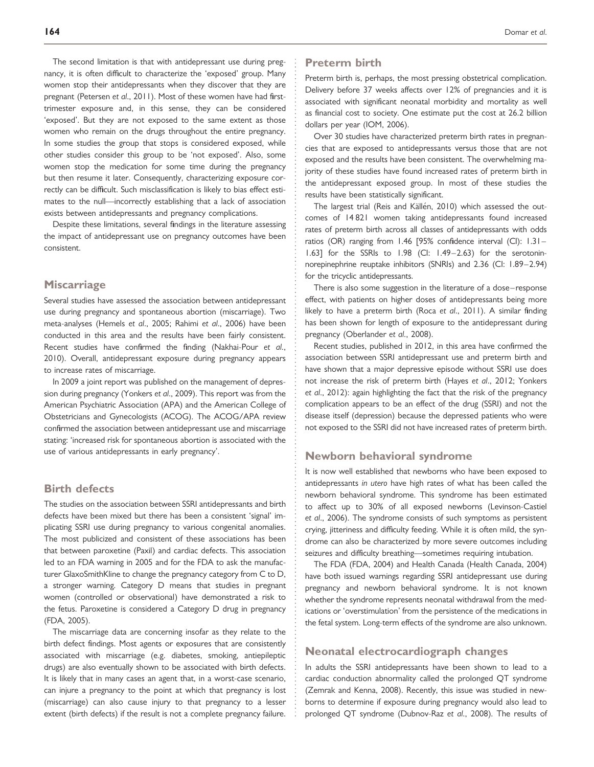The second limitation is that with antidepressant use during pregnancy, it is often difficult to characterize the 'exposed' group. Many women stop their antidepressants when they discover that they are pregnant (Petersen et al., 2011). Most of these women have had firsttrimester exposure and, in this sense, they can be considered 'exposed'. But they are not exposed to the same extent as those women who remain on the drugs throughout the entire pregnancy. In some studies the group that stops is considered exposed, while other studies consider this group to be 'not exposed'. Also, some women stop the medication for some time during the pregnancy but then resume it later. Consequently, characterizing exposure correctly can be difficult. Such misclassification is likely to bias effect estimates to the null—incorrectly establishing that a lack of association exists between antidepressants and pregnancy complications.

Despite these limitations, several findings in the literature assessing the impact of antidepressant use on pregnancy outcomes have been consistent.

#### **Miscarriage**

Several studies have assessed the association between antidepressant use during pregnancy and spontaneous abortion (miscarriage). Two meta-analyses (Hemels et al., 2005; Rahimi et al., 2006) have been conducted in this area and the results have been fairly consistent. Recent studies have confirmed the finding (Nakhai-Pour et al., 2010). Overall, antidepressant exposure during pregnancy appears to increase rates of miscarriage.

In 2009 a joint report was published on the management of depression during pregnancy (Yonkers et al., 2009). This report was from the American Psychiatric Association (APA) and the American College of Obstetricians and Gynecologists (ACOG). The ACOG/APA review confirmed the association between antidepressant use and miscarriage stating: 'increased risk for spontaneous abortion is associated with the use of various antidepressants in early pregnancy'.

#### Birth defects

The studies on the association between SSRI antidepressants and birth defects have been mixed but there has been a consistent 'signal' implicating SSRI use during pregnancy to various congenital anomalies. The most publicized and consistent of these associations has been that between paroxetine (Paxil) and cardiac defects. This association led to an FDA warning in 2005 and for the FDA to ask the manufacturer GlaxoSmithKline to change the pregnancy category from C to D, a stronger warning. Category D means that studies in pregnant women (controlled or observational) have demonstrated a risk to the fetus. Paroxetine is considered a Category D drug in pregnancy (FDA, 2005).

The miscarriage data are concerning insofar as they relate to the birth defect findings. Most agents or exposures that are consistently associated with miscarriage (e.g. diabetes, smoking, antiepileptic drugs) are also eventually shown to be associated with birth defects. It is likely that in many cases an agent that, in a worst-case scenario, can injure a pregnancy to the point at which that pregnancy is lost (miscarriage) can also cause injury to that pregnancy to a lesser extent (birth defects) if the result is not a complete pregnancy failure.

#### Preterm birth

Preterm birth is, perhaps, the most pressing obstetrical complication. Delivery before 37 weeks affects over 12% of pregnancies and it is associated with significant neonatal morbidity and mortality as well as financial cost to society. One estimate put the cost at 26.2 billion dollars per year (IOM, 2006).

Over 30 studies have characterized preterm birth rates in pregnancies that are exposed to antidepressants versus those that are not exposed and the results have been consistent. The overwhelming majority of these studies have found increased rates of preterm birth in the antidepressant exposed group. In most of these studies the results have been statistically significant.

The largest trial (Reis and Källén, 2010) which assessed the outcomes of 14 821 women taking antidepressants found increased rates of preterm birth across all classes of antidepressants with odds ratios (OR) ranging from 1.46 [95% confidence interval (CI): 1.31– 1.63] for the SSRIs to 1.98 (CI: 1.49–2.63) for the serotoninnorepinephrine reuptake inhibitors (SNRIs) and 2.36 (CI: 1.89–2.94) for the tricyclic antidepressants.

There is also some suggestion in the literature of a dose– response effect, with patients on higher doses of antidepressants being more likely to have a preterm birth (Roca et al., 2011). A similar finding has been shown for length of exposure to the antidepressant during pregnancy (Oberlander et al., 2008).

Recent studies, published in 2012, in this area have confirmed the association between SSRI antidepressant use and preterm birth and have shown that a major depressive episode without SSRI use does not increase the risk of preterm birth (Hayes et al., 2012; Yonkers et al., 2012): again highlighting the fact that the risk of the pregnancy complication appears to be an effect of the drug (SSRI) and not the disease itself (depression) because the depressed patients who were not exposed to the SSRI did not have increased rates of preterm birth.

#### Newborn behavioral syndrome

It is now well established that newborns who have been exposed to antidepressants in utero have high rates of what has been called the newborn behavioral syndrome. This syndrome has been estimated to affect up to 30% of all exposed newborns (Levinson-Castiel et al., 2006). The syndrome consists of such symptoms as persistent crying, jitteriness and difficulty feeding. While it is often mild, the syndrome can also be characterized by more severe outcomes including seizures and difficulty breathing—sometimes requiring intubation.

The FDA (FDA, 2004) and Health Canada (Health Canada, 2004) have both issued warnings regarding SSRI antidepressant use during pregnancy and newborn behavioral syndrome. It is not known whether the syndrome represents neonatal withdrawal from the medications or 'overstimulation' from the persistence of the medications in the fetal system. Long-term effects of the syndrome are also unknown.

#### Neonatal electrocardiograph changes

In adults the SSRI antidepressants have been shown to lead to a cardiac conduction abnormality called the prolonged QT syndrome (Zemrak and Kenna, 2008). Recently, this issue was studied in newborns to determine if exposure during pregnancy would also lead to prolonged QT syndrome (Dubnov-Raz et al., 2008). The results of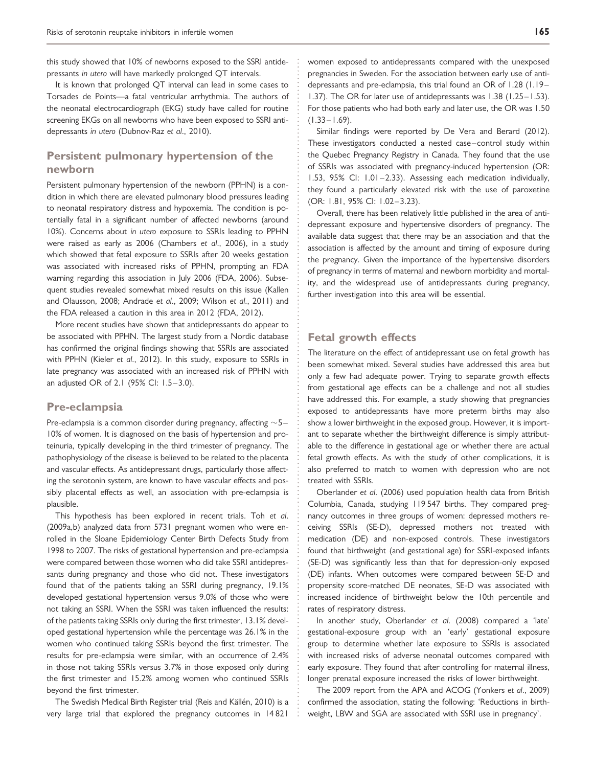this study showed that 10% of newborns exposed to the SSRI antidepressants in utero will have markedly prolonged QT intervals.

It is known that prolonged QT interval can lead in some cases to Torsades de Points—a fatal ventricular arrhythmia. The authors of the neonatal electrocardiograph (EKG) study have called for routine screening EKGs on all newborns who have been exposed to SSRI antidepressants in utero (Dubnov-Raz et al., 2010).

#### Persistent pulmonary hypertension of the newborn

Persistent pulmonary hypertension of the newborn (PPHN) is a condition in which there are elevated pulmonary blood pressures leading to neonatal respiratory distress and hypoxemia. The condition is potentially fatal in a significant number of affected newborns (around 10%). Concerns about in utero exposure to SSRIs leading to PPHN were raised as early as 2006 (Chambers et al., 2006), in a study which showed that fetal exposure to SSRIs after 20 weeks gestation was associated with increased risks of PPHN, prompting an FDA warning regarding this association in July 2006 (FDA, 2006). Subsequent studies revealed somewhat mixed results on this issue (Kallen and Olausson, 2008; Andrade et al., 2009; Wilson et al., 2011) and the FDA released a caution in this area in 2012 (FDA, 2012).

More recent studies have shown that antidepressants do appear to be associated with PPHN. The largest study from a Nordic database has confirmed the original findings showing that SSRIs are associated with PPHN (Kieler et al., 2012). In this study, exposure to SSRIs in late pregnancy was associated with an increased risk of PPHN with an adjusted OR of 2.1 (95% CI: 1.5-3.0).

#### Pre-eclampsia

Pre-eclampsia is a common disorder during pregnancy, affecting  ${\sim}$ 5– 10% of women. It is diagnosed on the basis of hypertension and proteinuria, typically developing in the third trimester of pregnancy. The pathophysiology of the disease is believed to be related to the placenta and vascular effects. As antidepressant drugs, particularly those affecting the serotonin system, are known to have vascular effects and possibly placental effects as well, an association with pre-eclampsia is plausible.

This hypothesis has been explored in recent trials. Toh et al. (2009a,b) analyzed data from 5731 pregnant women who were enrolled in the Sloane Epidemiology Center Birth Defects Study from 1998 to 2007. The risks of gestational hypertension and pre-eclampsia were compared between those women who did take SSRI antidepressants during pregnancy and those who did not. These investigators found that of the patients taking an SSRI during pregnancy, 19.1% developed gestational hypertension versus 9.0% of those who were not taking an SSRI. When the SSRI was taken influenced the results: of the patients taking SSRIs only during the first trimester, 13.1% developed gestational hypertension while the percentage was 26.1% in the women who continued taking SSRIs beyond the first trimester. The results for pre-eclampsia were similar, with an occurrence of 2.4% in those not taking SSRIs versus 3.7% in those exposed only during the first trimester and 15.2% among women who continued SSRIs beyond the first trimester.

The Swedish Medical Birth Register trial (Reis and Källén, 2010) is a very large trial that explored the pregnancy outcomes in 14 821 women exposed to antidepressants compared with the unexposed pregnancies in Sweden. For the association between early use of antidepressants and pre-eclampsia, this trial found an OR of 1.28 (1.19– 1.37). The OR for later use of antidepressants was 1.38 (1.25–1.53). For those patients who had both early and later use, the OR was 1.50  $(1.33 - 1.69)$ .

Similar findings were reported by De Vera and Berard (2012). These investigators conducted a nested case-control study within the Quebec Pregnancy Registry in Canada. They found that the use of SSRIs was associated with pregnancy-induced hypertension (OR: 1.53, 95% CI: 1.01-2.33). Assessing each medication individually, they found a particularly elevated risk with the use of paroxetine (OR: 1.81, 95% CI: 1.02 –3.23).

Overall, there has been relatively little published in the area of antidepressant exposure and hypertensive disorders of pregnancy. The available data suggest that there may be an association and that the association is affected by the amount and timing of exposure during the pregnancy. Given the importance of the hypertensive disorders of pregnancy in terms of maternal and newborn morbidity and mortality, and the widespread use of antidepressants during pregnancy, further investigation into this area will be essential.

#### Fetal growth effects

The literature on the effect of antidepressant use on fetal growth has been somewhat mixed. Several studies have addressed this area but only a few had adequate power. Trying to separate growth effects from gestational age effects can be a challenge and not all studies have addressed this. For example, a study showing that pregnancies exposed to antidepressants have more preterm births may also show a lower birthweight in the exposed group. However, it is important to separate whether the birthweight difference is simply attributable to the difference in gestational age or whether there are actual fetal growth effects. As with the study of other complications, it is also preferred to match to women with depression who are not treated with SSRIs.

Oberlander et al. (2006) used population health data from British Columbia, Canada, studying 119 547 births. They compared pregnancy outcomes in three groups of women: depressed mothers receiving SSRIs (SE-D), depressed mothers not treated with medication (DE) and non-exposed controls. These investigators found that birthweight (and gestational age) for SSRI-exposed infants (SE-D) was significantly less than that for depression-only exposed (DE) infants. When outcomes were compared between SE-D and propensity score-matched DE neonates, SE-D was associated with increased incidence of birthweight below the 10th percentile and rates of respiratory distress.

In another study, Oberlander et al. (2008) compared a 'late' gestational-exposure group with an 'early' gestational exposure group to determine whether late exposure to SSRIs is associated with increased risks of adverse neonatal outcomes compared with early exposure. They found that after controlling for maternal illness, longer prenatal exposure increased the risks of lower birthweight.

The 2009 report from the APA and ACOG (Yonkers et al., 2009) confirmed the association, stating the following: 'Reductions in birthweight, LBW and SGA are associated with SSRI use in pregnancy'.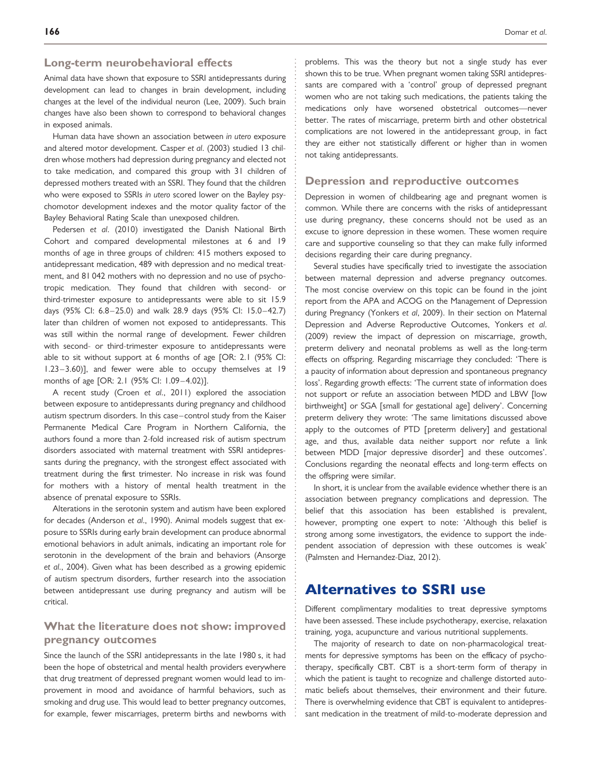#### Long-term neurobehavioral effects

Animal data have shown that exposure to SSRI antidepressants during development can lead to changes in brain development, including changes at the level of the individual neuron (Lee, 2009). Such brain changes have also been shown to correspond to behavioral changes in exposed animals.

Human data have shown an association between in utero exposure and altered motor development. Casper et al. (2003) studied 13 children whose mothers had depression during pregnancy and elected not to take medication, and compared this group with 31 children of depressed mothers treated with an SSRI. They found that the children who were exposed to SSRIs in utero scored lower on the Bayley psychomotor development indexes and the motor quality factor of the Bayley Behavioral Rating Scale than unexposed children.

Pedersen et al. (2010) investigated the Danish National Birth Cohort and compared developmental milestones at 6 and 19 months of age in three groups of children: 415 mothers exposed to antidepressant medication, 489 with depression and no medical treatment, and 81 042 mothers with no depression and no use of psychotropic medication. They found that children with second- or third-trimester exposure to antidepressants were able to sit 15.9 days (95% CI: 6.8-25.0) and walk 28.9 days (95% CI: 15.0-42.7) later than children of women not exposed to antidepressants. This was still within the normal range of development. Fewer children with second- or third-trimester exposure to antidepressants were able to sit without support at 6 months of age [OR: 2.1 (95% CI: 1.23 - 3.60)], and fewer were able to occupy themselves at 19 months of age [OR: 2.1 (95% CI: 1.09-4.02)].

A recent study (Croen et al., 2011) explored the association between exposure to antidepressants during pregnancy and childhood autism spectrum disorders. In this case–control study from the Kaiser Permanente Medical Care Program in Northern California, the authors found a more than 2-fold increased risk of autism spectrum disorders associated with maternal treatment with SSRI antidepressants during the pregnancy, with the strongest effect associated with treatment during the first trimester. No increase in risk was found for mothers with a history of mental health treatment in the absence of prenatal exposure to SSRIs.

Alterations in the serotonin system and autism have been explored for decades (Anderson et al., 1990). Animal models suggest that exposure to SSRIs during early brain development can produce abnormal emotional behaviors in adult animals, indicating an important role for serotonin in the development of the brain and behaviors (Ansorge et al., 2004). Given what has been described as a growing epidemic of autism spectrum disorders, further research into the association between antidepressant use during pregnancy and autism will be critical.

### What the literature does not show: improved pregnancy outcomes

Since the launch of the SSRI antidepressants in the late 1980 s, it had been the hope of obstetrical and mental health providers everywhere that drug treatment of depressed pregnant women would lead to improvement in mood and avoidance of harmful behaviors, such as smoking and drug use. This would lead to better pregnancy outcomes, for example, fewer miscarriages, preterm births and newborns with

problems. This was the theory but not a single study has ever shown this to be true. When pregnant women taking SSRI antidepressants are compared with a 'control' group of depressed pregnant women who are not taking such medications, the patients taking the medications only have worsened obstetrical outcomes—never better. The rates of miscarriage, preterm birth and other obstetrical complications are not lowered in the antidepressant group, in fact they are either not statistically different or higher than in women not taking antidepressants.

#### Depression and reproductive outcomes

Depression in women of childbearing age and pregnant women is common. While there are concerns with the risks of antidepressant use during pregnancy, these concerns should not be used as an excuse to ignore depression in these women. These women require care and supportive counseling so that they can make fully informed decisions regarding their care during pregnancy.

Several studies have specifically tried to investigate the association between maternal depression and adverse pregnancy outcomes. The most concise overview on this topic can be found in the joint report from the APA and ACOG on the Management of Depression during Pregnancy (Yonkers et al, 2009). In their section on Maternal Depression and Adverse Reproductive Outcomes, Yonkers et al. (2009) review the impact of depression on miscarriage, growth, preterm delivery and neonatal problems as well as the long-term effects on offspring. Regarding miscarriage they concluded: 'There is a paucity of information about depression and spontaneous pregnancy loss'. Regarding growth effects: 'The current state of information does not support or refute an association between MDD and LBW [low birthweight] or SGA [small for gestational age] delivery'. Concerning preterm delivery they wrote: 'The same limitations discussed above apply to the outcomes of PTD [preterm delivery] and gestational age, and thus, available data neither support nor refute a link between MDD [major depressive disorder] and these outcomes'. Conclusions regarding the neonatal effects and long-term effects on the offspring were similar.

In short, it is unclear from the available evidence whether there is an association between pregnancy complications and depression. The belief that this association has been established is prevalent, however, prompting one expert to note: 'Although this belief is strong among some investigators, the evidence to support the independent association of depression with these outcomes is weak' (Palmsten and Hernandez-Diaz, 2012).

## Alternatives to SSRI use

Different complimentary modalities to treat depressive symptoms have been assessed. These include psychotherapy, exercise, relaxation training, yoga, acupuncture and various nutritional supplements.

The majority of research to date on non-pharmacological treatments for depressive symptoms has been on the efficacy of psychotherapy, specifically CBT. CBT is a short-term form of therapy in which the patient is taught to recognize and challenge distorted automatic beliefs about themselves, their environment and their future. There is overwhelming evidence that CBT is equivalent to antidepressant medication in the treatment of mild-to-moderate depression and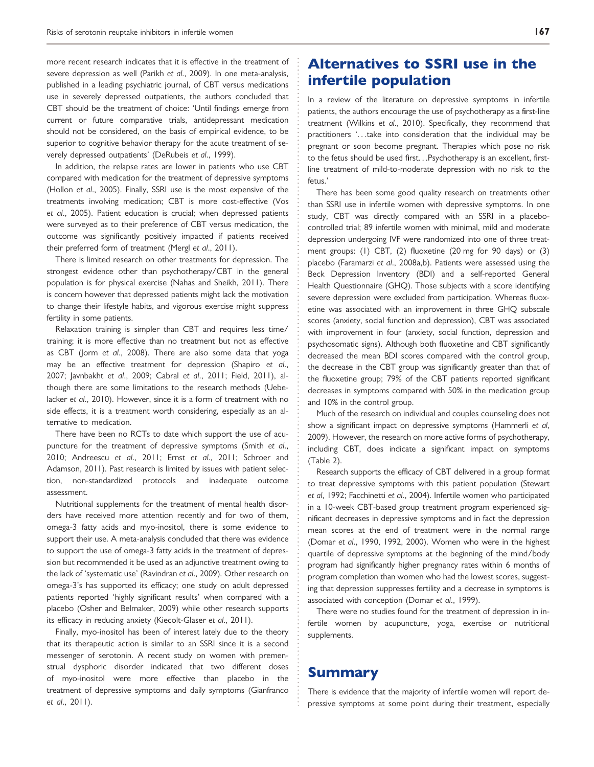more recent research indicates that it is effective in the treatment of severe depression as well (Parikh et al., 2009). In one meta-analysis, published in a leading psychiatric journal, of CBT versus medications use in severely depressed outpatients, the authors concluded that CBT should be the treatment of choice: 'Until findings emerge from current or future comparative trials, antidepressant medication should not be considered, on the basis of empirical evidence, to be superior to cognitive behavior therapy for the acute treatment of severely depressed outpatients' (DeRubeis et al., 1999).

In addition, the relapse rates are lower in patients who use CBT compared with medication for the treatment of depressive symptoms (Hollon et al., 2005). Finally, SSRI use is the most expensive of the treatments involving medication; CBT is more cost-effective (Vos et al., 2005). Patient education is crucial; when depressed patients were surveyed as to their preference of CBT versus medication, the outcome was significantly positively impacted if patients received their preferred form of treatment (Mergl et al., 2011).

There is limited research on other treatments for depression. The strongest evidence other than psychotherapy/CBT in the general population is for physical exercise (Nahas and Sheikh, 2011). There is concern however that depressed patients might lack the motivation to change their lifestyle habits, and vigorous exercise might suppress fertility in some patients.

Relaxation training is simpler than CBT and requires less time/ training; it is more effective than no treatment but not as effective as CBT (Jorm et al., 2008). There are also some data that yoga may be an effective treatment for depression (Shapiro et al., 2007; Javnbakht et al., 2009; Cabral et al., 2011; Field, 2011), although there are some limitations to the research methods (Uebelacker et al., 2010). However, since it is a form of treatment with no side effects, it is a treatment worth considering, especially as an alternative to medication.

There have been no RCTs to date which support the use of acupuncture for the treatment of depressive symptoms (Smith et al., 2010; Andreescu et al., 2011; Ernst et al., 2011; Schroer and Adamson, 2011). Past research is limited by issues with patient selection, non-standardized protocols and inadequate outcome assessment.

Nutritional supplements for the treatment of mental health disorders have received more attention recently and for two of them, omega-3 fatty acids and myo-inositol, there is some evidence to support their use. A meta-analysis concluded that there was evidence to support the use of omega-3 fatty acids in the treatment of depression but recommended it be used as an adjunctive treatment owing to the lack of 'systematic use' (Ravindran et al., 2009). Other research on omega-3's has supported its efficacy; one study on adult depressed patients reported 'highly significant results' when compared with a placebo (Osher and Belmaker, 2009) while other research supports its efficacy in reducing anxiety (Kiecolt-Glaser et al., 2011).

Finally, myo-inositol has been of interest lately due to the theory that its therapeutic action is similar to an SSRI since it is a second messenger of serotonin. A recent study on women with premenstrual dysphoric disorder indicated that two different doses of myo-inositol were more effective than placebo in the treatment of depressive symptoms and daily symptoms (Gianfranco et al., 2011).

# Alternatives to SSRI use in the infertile population

In a review of the literature on depressive symptoms in infertile patients, the authors encourage the use of psychotherapy as a first-line treatment (Wilkins et al., 2010). Specifically, they recommend that practitioners '...take into consideration that the individual may be pregnant or soon become pregnant. Therapies which pose no risk to the fetus should be used first...Psychotherapy is an excellent, firstline treatment of mild-to-moderate depression with no risk to the fetus.'

There has been some good quality research on treatments other than SSRI use in infertile women with depressive symptoms. In one study, CBT was directly compared with an SSRI in a placebocontrolled trial; 89 infertile women with minimal, mild and moderate depression undergoing IVF were randomized into one of three treatment groups: (1) CBT, (2) fluoxetine (20 mg for 90 days) or (3) placebo (Faramarzi et al., 2008a,b). Patients were assessed using the Beck Depression Inventory (BDI) and a self-reported General Health Questionnaire (GHQ). Those subjects with a score identifying severe depression were excluded from participation. Whereas fluoxetine was associated with an improvement in three GHQ subscale scores (anxiety, social function and depression), CBT was associated with improvement in four (anxiety, social function, depression and psychosomatic signs). Although both fluoxetine and CBT significantly decreased the mean BDI scores compared with the control group, the decrease in the CBT group was significantly greater than that of the fluoxetine group; 79% of the CBT patients reported significant decreases in symptoms compared with 50% in the medication group and 10% in the control group.

Much of the research on individual and couples counseling does not show a significant impact on depressive symptoms (Hammerli et al, 2009). However, the research on more active forms of psychotherapy, including CBT, does indicate a significant impact on symptoms (Table 2).

Research supports the efficacy of CBT delivered in a group format to treat depressive symptoms with this patient population (Stewart et al, 1992; Facchinetti et al., 2004). Infertile women who participated in a 10-week CBT-based group treatment program experienced significant decreases in depressive symptoms and in fact the depression mean scores at the end of treatment were in the normal range (Domar et al., 1990, 1992, 2000). Women who were in the highest quartile of depressive symptoms at the beginning of the mind/body program had significantly higher pregnancy rates within 6 months of program completion than women who had the lowest scores, suggesting that depression suppresses fertility and a decrease in symptoms is associated with conception (Domar et al., 1999).

There were no studies found for the treatment of depression in infertile women by acupuncture, yoga, exercise or nutritional supplements.

## Summary

There is evidence that the majority of infertile women will report depressive symptoms at some point during their treatment, especially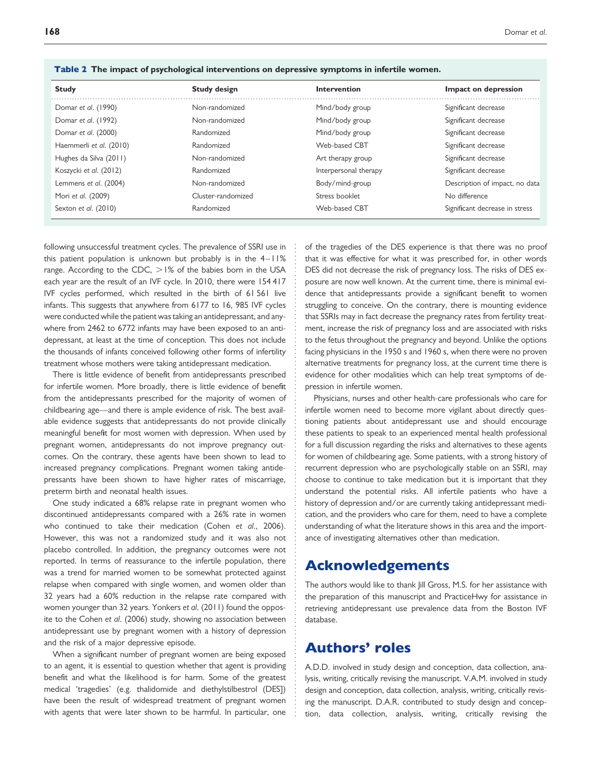| <b>Study</b>            | <b>Study design</b> | <b>Intervention</b>   | Impact on depression           |
|-------------------------|---------------------|-----------------------|--------------------------------|
| Domar et al. (1990)     | Non-randomized      | Mind/body group       | Significant decrease           |
| Domar et al. (1992)     | Non-randomized      | Mind/body group       | Significant decrease           |
| Domar et al. (2000)     | Randomized          | Mind/body group       | Significant decrease           |
| Haemmerli et al. (2010) | Randomized          | Web-based CBT         | Significant decrease           |
| Hughes da Silva (2011)  | Non-randomized      | Art therapy group     | Significant decrease           |
| Koszycki et al. (2012)  | Randomized          | Interpersonal therapy | Significant decrease           |
| Lemmens et al. (2004)   | Non-randomized      | Body/mind-group       | Description of impact, no data |
| Mori et al. (2009)      | Cluster-randomized  | Stress booklet        | No difference                  |
| Sexton et al. (2010)    | Randomized          | Web-based CBT         | Significant decrease in stress |

Table 2 The impact of psychological interventions on depressive symptoms in infertile women.

following unsuccessful treatment cycles. The prevalence of SSRI use in this patient population is unknown but probably is in the  $4-11\%$ range. According to the CDC,  $>1\%$  of the babies born in the USA each year are the result of an IVF cycle. In 2010, there were 154 417 IVF cycles performed, which resulted in the birth of 61 561 live infants. This suggests that anywhere from 6177 to 16, 985 IVF cycles were conducted while the patient was taking an antidepressant, and anywhere from 2462 to 6772 infants may have been exposed to an antidepressant, at least at the time of conception. This does not include the thousands of infants conceived following other forms of infertility treatment whose mothers were taking antidepressant medication.

There is little evidence of benefit from antidepressants prescribed for infertile women. More broadly, there is little evidence of benefit from the antidepressants prescribed for the majority of women of childbearing age—and there is ample evidence of risk. The best available evidence suggests that antidepressants do not provide clinically meaningful benefit for most women with depression. When used by pregnant women, antidepressants do not improve pregnancy outcomes. On the contrary, these agents have been shown to lead to increased pregnancy complications. Pregnant women taking antidepressants have been shown to have higher rates of miscarriage, preterm birth and neonatal health issues.

One study indicated a 68% relapse rate in pregnant women who discontinued antidepressants compared with a 26% rate in women who continued to take their medication (Cohen et al., 2006). However, this was not a randomized study and it was also not placebo controlled. In addition, the pregnancy outcomes were not reported. In terms of reassurance to the infertile population, there was a trend for married women to be somewhat protected against relapse when compared with single women, and women older than 32 years had a 60% reduction in the relapse rate compared with women younger than 32 years. Yonkers et al. (2011) found the opposite to the Cohen et al. (2006) study, showing no association between antidepressant use by pregnant women with a history of depression and the risk of a major depressive episode.

When a significant number of pregnant women are being exposed to an agent, it is essential to question whether that agent is providing benefit and what the likelihood is for harm. Some of the greatest medical 'tragedies' (e.g. thalidomide and diethylstilbestrol (DES]) have been the result of widespread treatment of pregnant women with agents that were later shown to be harmful. In particular, one

of the tragedies of the DES experience is that there was no proof that it was effective for what it was prescribed for, in other words DES did not decrease the risk of pregnancy loss. The risks of DES exposure are now well known. At the current time, there is minimal evidence that antidepressants provide a significant benefit to women struggling to conceive. On the contrary, there is mounting evidence that SSRIs may in fact decrease the pregnancy rates from fertility treatment, increase the risk of pregnancy loss and are associated with risks to the fetus throughout the pregnancy and beyond. Unlike the options facing physicians in the 1950 s and 1960 s, when there were no proven alternative treatments for pregnancy loss, at the current time there is evidence for other modalities which can help treat symptoms of depression in infertile women.

Physicians, nurses and other health-care professionals who care for infertile women need to become more vigilant about directly questioning patients about antidepressant use and should encourage these patients to speak to an experienced mental health professional for a full discussion regarding the risks and alternatives to these agents for women of childbearing age. Some patients, with a strong history of recurrent depression who are psychologically stable on an SSRI, may choose to continue to take medication but it is important that they understand the potential risks. All infertile patients who have a history of depression and/or are currently taking antidepressant medication, and the providers who care for them, need to have a complete understanding of what the literature shows in this area and the importance of investigating alternatives other than medication.

## Acknowledgements

The authors would like to thank Jill Gross, M.S. for her assistance with the preparation of this manuscript and PracticeHwy for assistance in retrieving antidepressant use prevalence data from the Boston IVF database.

## Authors' roles

A.D.D. involved in study design and conception, data collection, analysis, writing, critically revising the manuscript. V.A.M. involved in study design and conception, data collection, analysis, writing, critically revising the manuscript. D.A.R. contributed to study design and conception, data collection, analysis, writing, critically revising the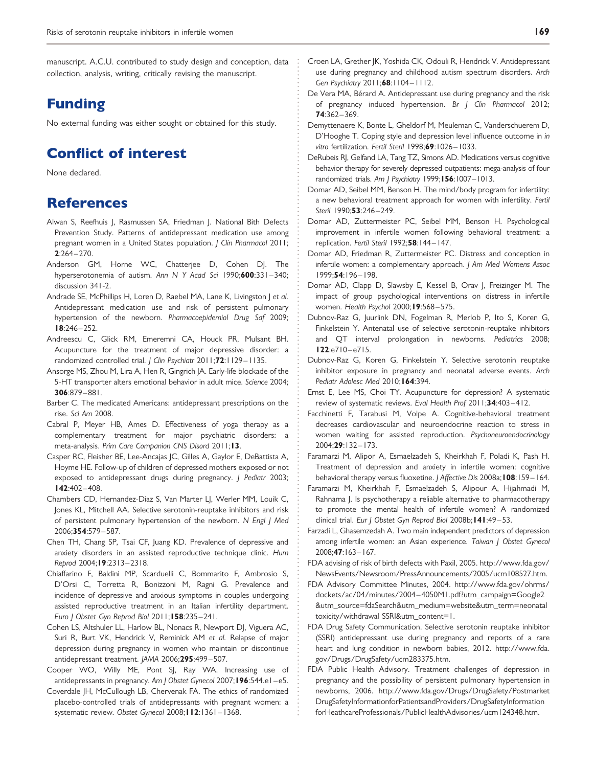manuscript. A.C.U. contributed to study design and conception, data collection, analysis, writing, critically revising the manuscript.

# Funding

No external funding was either sought or obtained for this study.

# Conflict of interest

None declared.

## References

- Alwan S, Reefhuis J, Rasmussen SA, Friedman J. National Bith Defects Prevention Study. Patterns of antidepressant medication use among pregnant women in a United States population. *J Clin Pharmacol* 2011;  $2:264 - 270.$
- Anderson GM, Horne WC, Chatterjee D, Cohen DJ. The hyperserotonemia of autism. Ann N Y Acad Sci 1990;600:331-340; discussion 341-2.
- Andrade SE, McPhillips H, Loren D, Raebel MA, Lane K, Livingston J et al. Antidepressant medication use and risk of persistent pulmonary hypertension of the newborn. Pharmacoepidemiol Drug Saf 2009; 18:246– 252.
- Andreescu C, Glick RM, Emeremni CA, Houck PR, Mulsant BH. Acupuncture for the treatment of major depressive disorder: a randomized controlled trial. | Clin Psychiatr 2011;72:1129-1135.
- Ansorge MS, Zhou M, Lira A, Hen R, Gingrich JA. Early-life blockade of the 5-HT transporter alters emotional behavior in adult mice. Science 2004; 306:879– 881.
- Barber C. The medicated Americans: antidepressant prescriptions on the rise. Sci Am 2008.
- Cabral P, Meyer HB, Ames D. Effectiveness of yoga therapy as a complementary treatment for major psychiatric disorders: a meta-analysis. Prim Care Companion CNS Disord 2011;13.
- Casper RC, Fleisher BE, Lee-Ancajas JC, Gilles A, Gaylor E, DeBattista A, Hoyme HE. Follow-up of children of depressed mothers exposed or not exposed to antidepressant drugs during pregnancy. J Pediatr 2003; 142:402– 408.
- Chambers CD, Hernandez-Diaz S, Van Marter LJ, Werler MM, Louik C, Jones KL, Mitchell AA. Selective serotonin-reuptake inhibitors and risk of persistent pulmonary hypertension of the newborn. N Engl J Med 2006;354:579 – 587.
- Chen TH, Chang SP, Tsai CF, Juang KD. Prevalence of depressive and anxiety disorders in an assisted reproductive technique clinic. Hum Reprod 2004;19:2313– 2318.
- Chiaffarino F, Baldini MP, Scarduelli C, Bommarito F, Ambrosio S, D'Orsi C, Torretta R, Bonizzoni M, Ragni G. Prevalence and incidence of depressive and anxious symptoms in couples undergoing assisted reproductive treatment in an Italian infertility department. Euro | Obstet Gyn Reprod Biol 2011;158:235-241.
- Cohen LS, Altshuler LL, Harlow BL, Nonacs R, Newport DJ, Viguera AC, Suri R, Burt VK, Hendrick V, Reminick AM et al. Relapse of major depression during pregnancy in women who maintain or discontinue antidepressant treatment. JAMA 2006;295:499 – 507.
- Cooper WO, Willy ME, Pont SJ, Ray WA. Increasing use of antidepressants in pregnancy. Am J Obstet Gynecol 2007; 196:544.el-e5.
- Coverdale JH, McCullough LB, Chervenak FA. The ethics of randomized placebo-controlled trials of antidepressants with pregnant women: a systematic review. Obstet Gynecol 2008; I 12:1361-1368.
- Croen LA, Grether JK, Yoshida CK, Odouli R, Hendrick V. Antidepressant use during pregnancy and childhood autism spectrum disorders. Arch Gen Psychiatry 2011;68:1104-1112.
- De Vera MA, Bérard A. Antidepressant use during pregnancy and the risk of pregnancy induced hypertension. Br J Clin Pharmacol 2012;  $74:362 - 369$ .
- Demyttenaere K, Bonte L, Gheldorf M, Meuleman C, Vanderschuerem D, D'Hooghe T. Coping style and depression level influence outcome in in vitro fertilization. Fertil Steril 1998;69:1026-1033.
- DeRubeis RJ, Gelfand LA, Tang TZ, Simons AD. Medications versus cognitive behavior therapy for severely depressed outpatients: mega-analysis of four randomized trials. Am | Psychiatry 1999;156:1007-1013.
- Domar AD, Seibel MM, Benson H. The mind/body program for infertility: a new behavioral treatment approach for women with infertility. Fertil Steril 1990;53:246-249.
- Domar AD, Zuttermeister PC, Seibel MM, Benson H. Psychological improvement in infertile women following behavioral treatment: a replication. Fertil Steril 1992;58:144-147.
- Domar AD, Friedman R, Zuttermeister PC. Distress and conception in infertile women: a complementary approach. J Am Med Womens Assoc 1999;54:196-198.
- Domar AD, Clapp D, Slawsby E, Kessel B, Orav J, Freizinger M. The impact of group psychological interventions on distress in infertile women. Health Psychol 2000;19:568 – 575.
- Dubnov-Raz G, Juurlink DN, Fogelman R, Merlob P, Ito S, Koren G, Finkelstein Y. Antenatal use of selective serotonin-reuptake inhibitors and QT interval prolongation in newborns. Pediatrics 2008; 122:e710–e715.
- Dubnov-Raz G, Koren G, Finkelstein Y. Selective serotonin reuptake inhibitor exposure in pregnancy and neonatal adverse events. Arch Pediatr Adolesc Med 2010; 164:394.
- Ernst E, Lee MS, Choi TY. Acupuncture for depression? A systematic review of systematic reviews. Eval Health Prof 2011;34:403-412.
- Facchinetti F, Tarabusi M, Volpe A. Cognitive-behavioral treatment decreases cardiovascular and neuroendocrine reaction to stress in women waiting for assisted reproduction. Psychoneuroendocrinology  $2004:29:132 - 173$ .
- Faramarzi M, Alipor A, Esmaelzadeh S, Kheirkhah F, Poladi K, Pash H. Treatment of depression and anxiety in infertile women: cognitive behavioral therapy versus fluoxetine. | Affective Dis 2008a; **108**: 159-164.
- Faramarzi M, Kheirkhah F, Esmaelzadeh S, Alipour A, Hijahmadi M, Rahnama J. Is psychotherapy a reliable alternative to pharmacotherapy to promote the mental health of infertile women? A randomized clinical trial. Eur J Obstet Gyn Reprod Biol 2008b; 141:49-53.
- Farzadi L, Ghasemzedah A. Two main independent predictors of depression among infertile women: an Asian experience. Taiwan | Obstet Gynecol 2008;47:163–167.
- FDA advising of risk of birth defects with Paxil, 2005. [http://www.fda.gov/](http://www.fda.gov/NewsEvents/Newsroom/PressAnnouncements/2005/ucm108527.htm) [NewsEvents/Newsroom/PressAnnouncements/2005/ucm108527.htm.](http://www.fda.gov/NewsEvents/Newsroom/PressAnnouncements/2005/ucm108527.htm)
- FDA Advisory Committee Minutes, 2004. [http://www.fda.gov/ohrms/](http://www.fda.gov/ohrms/dockets/ac/04/minutes/2004–4050M1.pdf?utm_campaign=Google2&utm_source=fdaSearch&utm_medium=website&utm_term=neonatal toxicity/withdrawal SSRI&utm_content=1) [dockets/ac/04/minutes/2004 –4050M1.pdf?utm\\_campaign=Google2](http://www.fda.gov/ohrms/dockets/ac/04/minutes/2004–4050M1.pdf?utm_campaign=Google2&utm_source=fdaSearch&utm_medium=website&utm_term=neonatal toxicity/withdrawal SSRI&utm_content=1) [&utm\\_source=fdaSearch&utm\\_medium=website&utm\\_term=neonatal](http://www.fda.gov/ohrms/dockets/ac/04/minutes/2004–4050M1.pdf?utm_campaign=Google2&utm_source=fdaSearch&utm_medium=website&utm_term=neonatal toxicity/withdrawal SSRI&utm_content=1) [toxicity/withdrawal SSRI&utm\\_content=1](http://www.fda.gov/ohrms/dockets/ac/04/minutes/2004–4050M1.pdf?utm_campaign=Google2&utm_source=fdaSearch&utm_medium=website&utm_term=neonatal toxicity/withdrawal SSRI&utm_content=1).
- FDA Drug Safety Communication. Selective serotonin reuptake inhibitor (SSRI) antidepressant use during pregnancy and reports of a rare heart and lung condition in newborn babies, 2012. [http://www.fda.](http://www.fda.gov/Drugs/DrugSafety/ucm283375.htm) [gov/Drugs/DrugSafety/ucm283375.htm.](http://www.fda.gov/Drugs/DrugSafety/ucm283375.htm)
- FDA Public Health Advisory. Treatment challenges of depression in pregnancy and the possibility of persistent pulmonary hypertension in newborns, 2006. [http://www.fda.gov/Drugs/DrugSafety/Postmarket](http://www.fda.gov/Drugs/DrugSafety/PostmarketDrugSafetyInformationforPatientsandProviders/DrugSafetyInformationforHeathcareProfessionals/PublicHealthAdvisories/ucm124348.htm) [DrugSafetyInformationforPatientsandProviders/DrugSafetyInformation](http://www.fda.gov/Drugs/DrugSafety/PostmarketDrugSafetyInformationforPatientsandProviders/DrugSafetyInformationforHeathcareProfessionals/PublicHealthAdvisories/ucm124348.htm) [forHeathcareProfessionals/PublicHealthAdvisories/ucm124348.htm.](http://www.fda.gov/Drugs/DrugSafety/PostmarketDrugSafetyInformationforPatientsandProviders/DrugSafetyInformationforHeathcareProfessionals/PublicHealthAdvisories/ucm124348.htm)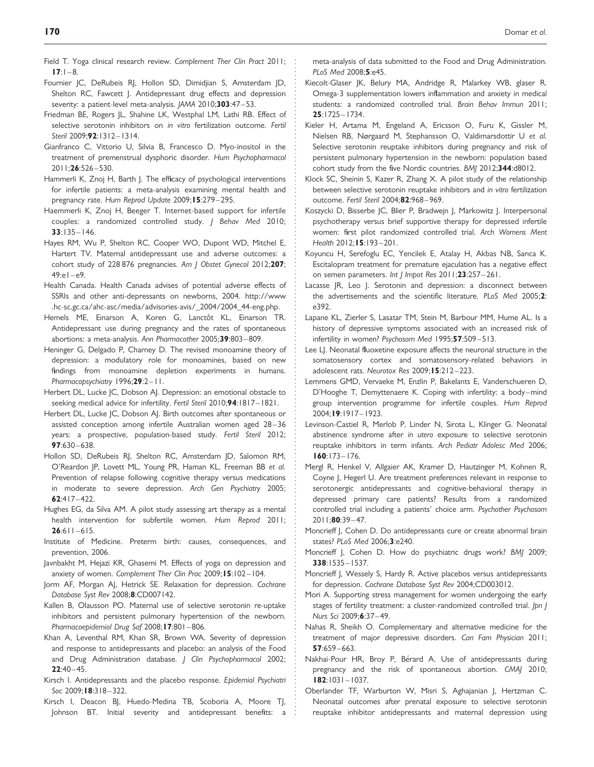Field T. Yoga clinical research review. Complement Ther Clin Pract 2011;  $|7:|-8.$ 

- Fournier JC, DeRubeis RJ, Hollon SD, Dimidjian S, Amsterdam JD, Shelton RC, Fawcett J. Antidepressant drug effects and depression severity: a patient-level meta-analysis. JAMA 2010;303:47-53.
- Friedman BE, Rogers |L, Shahine LK, Westphal LM, Lathi RB. Effect of selective serotonin inhibitors on in vitro fertilization outcome. Fertil Steril 2009:92:1312-1314.
- Gianfranco C, Vittorio U, Silvia B, Francesco D. Myo-inositol in the treatment of premenstrual dysphoric disorder. Hum Psychopharmacol 2011;26:526 – 530.
- Hammerli K, Znoj H, Barth J. The efficacy of psychological interventions for infertile patients: a meta-analysis examining mental health and pregnancy rate. Hum Reprod Update 2009; 15:279-295.
- Haemmerli K, Znoj H, Beeger T. Internet-based support for infertile couples: a randomized controlled study. J Behav Med 2010;  $33:135 - 146.$
- Hayes RM, Wu P, Shelton RC, Cooper WO, Dupont WD, Mitchel E, Hartert TV. Maternal antidepressant use and adverse outcomes: a cohort study of 228 876 pregnancies. Am J Obstet Gynecol 2012;207; 49:e1 –e9.
- Health Canada. Health Canada advises of potential adverse effects of SSRIs and other anti-depressants on newborns, 2004. [http://www](http://www.hc-sc.gc.ca/ahc-asc/media/advisories-avis/_2004/2004_44-eng.php) [.hc-sc.gc.ca/ahc-asc/media/advisories-avis/\\_2004/2004\\_44-eng.php.](http://www.hc-sc.gc.ca/ahc-asc/media/advisories-avis/_2004/2004_44-eng.php)
- Hemels ME, Einarson A, Koren G, Lanctôt KL, Einarson TR. Antidepressant use during pregnancy and the rates of spontaneous abortions: a meta-analysis. Ann Pharmacother 2005;39:803 – 809.
- Heninger G, Delgado P, Charney D. The revised monoamine theory of depression: a modulatory role for monoamines, based on new findings from monoamine depletion experiments in humans. Pharmacopsychiatry 1996;29:2-11.
- Herbert DL, Lucke JC, Dobson AJ. Depression: an emotional obstacle to seeking medical advice for infertility. Fertil Steril 2010;94:1817-1821.
- Herbert DL, Lucke JC, Dobson AJ. Birth outcomes after spontaneous or assisted conception among infertile Australian women aged 28-36 years: a prospective, population-based study. Fertil Steril 2012;  $97:630 - 638.$
- Hollon SD, DeRubeis RJ, Shelton RC, Amsterdam JD, Salomon RM, O'Reardon JP, Lovett ML, Young PR, Haman KL, Freeman BB et al. Prevention of relapse following cognitive therapy versus medications in moderate to severe depression. Arch Gen Psychiatry 2005; 62:417 – 422.
- Hughes EG, da Silva AM. A pilot study assessing art therapy as a mental health intervention for subfertile women. Hum Reprod 2011;  $26:611 - 615.$
- Institute of Medicine. Preterm birth: causes, consequences, and prevention, 2006.
- Javnbakht M, Hejazi KR, Ghasemi M. Effects of yoga on depression and anxiety of women. Complement Ther Clin Prac 2009; 15:102-104.
- Jorm AF, Morgan AJ, Hetrick SE. Relaxation for depression. Cochrane Database Syst Rev 2008;8:CD007142.
- Kallen B, Olausson PO. Maternal use of selective serotonin re-uptake inhibitors and persistent pulmonary hypertension of the newborn. Pharmacoepidemiol Drug Saf 2008; 17:801-806.
- Khan A, Leventhal RM, Khan SR, Brown WA. Severity of depression and response to antidepressants and placebo: an analysis of the Food and Drug Administration database. J Clin Psychopharmacol 2002;  $22:40 - 45$ .
- Kirsch I. Antidepressants and the placebo response. Epidemiol Psychiatri Soc 2009;18:318-322.
- Kirsch I, Deacon BJ, Huedo-Medina TB, Scoboria A, Moore TJ, Johnson BT. Initial severity and antidepressant benefits: a

meta-analysis of data submitted to the Food and Drug Administration. PLoS Med 2008;5:e45.

- Kiecolt-Glaser JK, Belury MA, Andridge R, Malarkey WB, glaser R. Omega-3 supplementation lowers inflammation and anxiety in medical students: a randomized controlled trial. Brain Behav Immun 2011;  $25:1725 - 1734.$
- Kieler H, Artama M, Engeland A, Ericsson O, Furu K, Gissler M, Nielsen RB, Nørgaard M, Stephansson O, Valdimarsdottir U et al. Selective serotonin reuptake inhibitors during pregnancy and risk of persistent pulmonary hypertension in the newborn: population based cohort study from the five Nordic countries. BMJ 2012;344:d8012.
- Klock SC, Sheinin S, Kazer R, Zhang X. A pilot study of the relationship between selective serotonin reuptake inhibitors and in vitro fertilization outcome. Fertil Steril 2004;82:968– 969.
- Koszycki D, Bisserbe JC, Blier P, Bradwejn J, Markowitz J. Interpersonal psychotherapy versus brief supportive therapy for depressed infertile women: first pilot randomized controlled trial. Arch Womens Ment Health 2012; **15**:193-201.
- Koyuncu H, Serefoglu EC, Yencilek E, Atalay H, Akbas NB, Sarıca K. Escitalopram treatment for premature ejaculation has a negative effect on semen parameters. Int J Impot Res 2011;23:257-261.
- Lacasse JR, Leo J. Serotonin and depression: a disconnect between the advertisements and the scientific literature. PLoS Med 2005;2: e392.
- Lapane KL, Zierler S, Lasatar TM, Stein M, Barbour MM, Hume AL. Is a history of depressive symptoms associated with an increased risk of infertility in women? Psychosom Med 1995;57:509-513.
- Lee LJ. Neonatal fluoxetine exposure affects the neuronal structure in the somatosensory cortex and somatosensory-related behaviors in adolescent rats. Neurotox Res 2009;15:212 – 223.
- Lemmens GMD, Vervaeke M, Enzlin P, Bakelants E, Vanderschueren D, D'Hooghe T, Demyttenaere K. Coping with infertility: a body–mind group intervention programme for infertile couples. Hum Reprod 2004;19:1917 – 1923.
- Levinson-Castiel R, Merlob P, Linder N, Sirota L, Klinger G. Neonatal abstinence syndrome after in utero exposure to selective serotonin reuptake inhibitors in term infants. Arch Pediatr Adolesc Med 2006; 160:173– 176.
- Mergl R, Henkel V, Allgaier AK, Kramer D, Hautzinger M, Kohnen R, Coyne J, Hegerl U. Are treatment preferences relevant in response to serotonergic antidepressants and cognitive-behavioral therapy in depressed primary care patients? Results from a randomized controlled trial including a patients' choice arm. Psychother Psychosom 2011;80:39 – 47.
- Moncrieff J, Cohen D. Do antidepressants cure or create abnormal brain states? PLoS Med 2006;3:e240.
- Moncrieff J, Cohen D. How do psychiatric drugs work? BMJ 2009; 338:1535– 1537.
- Moncrieff J, Wessely S, Hardy R. Active placebos versus antidepressants for depression. Cochrane Database Syst Rev 2004;CD003012.
- Mori A. Supporting stress management for women undergoing the early stages of fertility treatment: a cluster-randomized controlled trial. *[pn ]* Nurs Sci 2009;6:37– 49.
- Nahas R, Sheikh O. Complementary and alternative medicine for the treatment of major depressive disorders. Can Fam Physician 2011; 57:659 – 663.
- Nakhai-Pour HR, Broy P, Bérard A. Use of antidepressants during pregnancy and the risk of spontaneous abortion. CMAJ 2010; 182:1031– 1037.
- Oberlander TF, Warburton W, Misri S, Aghajanian J, Hertzman C. Neonatal outcomes after prenatal exposure to selective serotonin reuptake inhibitor antidepressants and maternal depression using